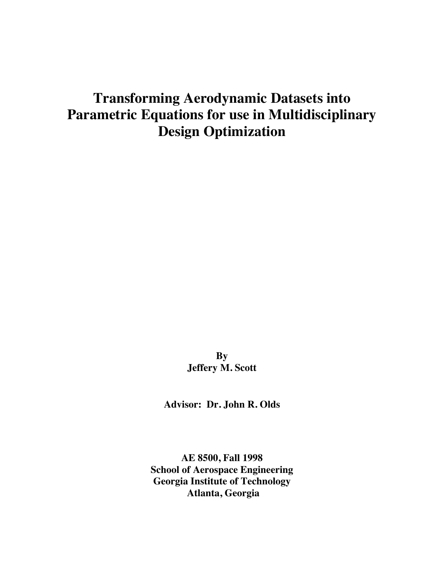# **Transforming Aerodynamic Datasets into Parametric Equations for use in Multidisciplinary Design Optimization**

**By Jeffery M. Scott**

**Advisor: Dr. John R. Olds**

**AE 8500, Fall 1998 School of Aerospace Engineering Georgia Institute of Technology Atlanta, Georgia**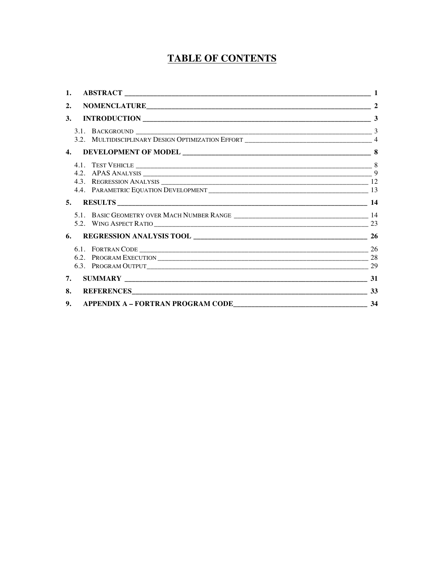# **TABLE OF CONTENTS**

| 1. |                                      |                |
|----|--------------------------------------|----------------|
| 2. |                                      | $\overline{2}$ |
| 3. |                                      | 3              |
|    |                                      |                |
|    |                                      |                |
|    |                                      |                |
|    |                                      |                |
|    |                                      |                |
|    |                                      |                |
|    |                                      |                |
|    |                                      |                |
|    |                                      |                |
|    |                                      |                |
| 6. |                                      |                |
|    |                                      |                |
|    |                                      |                |
|    |                                      |                |
| 7. |                                      |                |
| 8. |                                      |                |
| 9. | APPENDIX A - FORTRAN PROGRAM CODE 34 |                |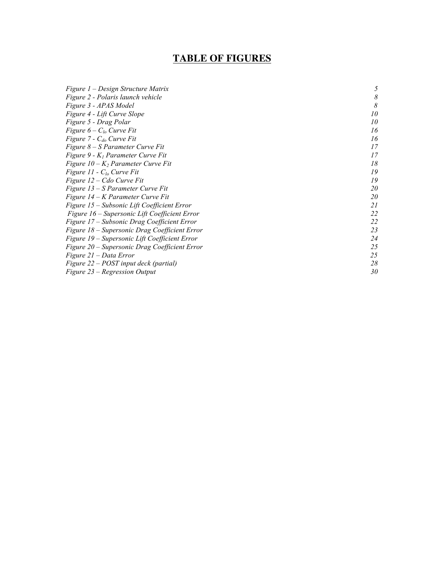### **TABLE OF FIGURES**

| Figure 1 – Design Structure Matrix            | 5  |
|-----------------------------------------------|----|
| Figure 2 - Polaris launch vehicle             | 8  |
| Figure 3 - APAS Model                         | 8  |
| Figure 4 - Lift Curve Slope                   | 10 |
| Figure 5 - Drag Polar                         | 10 |
| Figure $6 - C_{lo}$ Curve Fit                 | 16 |
| Figure $7 - C_{do}$ Curve Fit                 | 16 |
| Figure 8 – S Parameter Curve Fit              | 17 |
| Figure 9 - $K_l$ Parameter Curve Fit          | 17 |
| Figure $10 - K_2$ Parameter Curve Fit         | 18 |
| Figure 11 - $C_{lo}$ Curve Fit                | 19 |
| Figure 12 – Cdo Curve Fit                     | 19 |
| Figure 13 – S Parameter Curve Fit             | 20 |
| Figure 14 – K Parameter Curve Fit             | 20 |
| Figure 15 – Subsonic Lift Coefficient Error   | 21 |
| Figure 16 – Supersonic Lift Coefficient Error | 22 |
| Figure 17 – Subsonic Drag Coefficient Error   | 22 |
| Figure 18 - Supersonic Drag Coefficient Error | 23 |
| Figure 19 – Supersonic Lift Coefficient Error | 24 |
| Figure 20 – Supersonic Drag Coefficient Error | 25 |
| Figure 21 – Data Error                        | 25 |
| Figure 22 – POST input deck (partial)         | 28 |
| Figure 23 – Regression Output                 | 30 |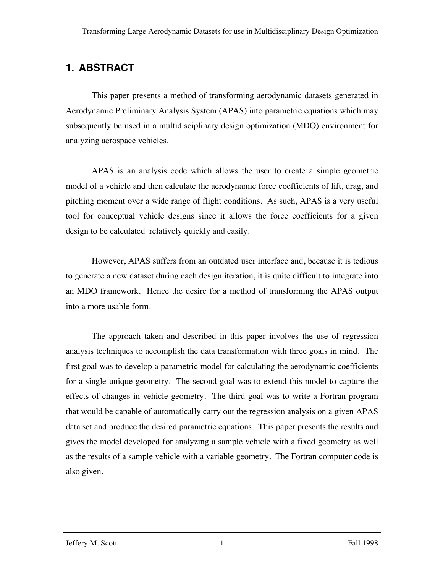# **1. ABSTRACT**

This paper presents a method of transforming aerodynamic datasets generated in Aerodynamic Preliminary Analysis System (APAS) into parametric equations which may subsequently be used in a multidisciplinary design optimization (MDO) environment for analyzing aerospace vehicles.

APAS is an analysis code which allows the user to create a simple geometric model of a vehicle and then calculate the aerodynamic force coefficients of lift, drag, and pitching moment over a wide range of flight conditions. As such, APAS is a very useful tool for conceptual vehicle designs since it allows the force coefficients for a given design to be calculated relatively quickly and easily.

However, APAS suffers from an outdated user interface and, because it is tedious to generate a new dataset during each design iteration, it is quite difficult to integrate into an MDO framework. Hence the desire for a method of transforming the APAS output into a more usable form.

The approach taken and described in this paper involves the use of regression analysis techniques to accomplish the data transformation with three goals in mind. The first goal was to develop a parametric model for calculating the aerodynamic coefficients for a single unique geometry. The second goal was to extend this model to capture the effects of changes in vehicle geometry. The third goal was to write a Fortran program that would be capable of automatically carry out the regression analysis on a given APAS data set and produce the desired parametric equations. This paper presents the results and gives the model developed for analyzing a sample vehicle with a fixed geometry as well as the results of a sample vehicle with a variable geometry. The Fortran computer code is also given.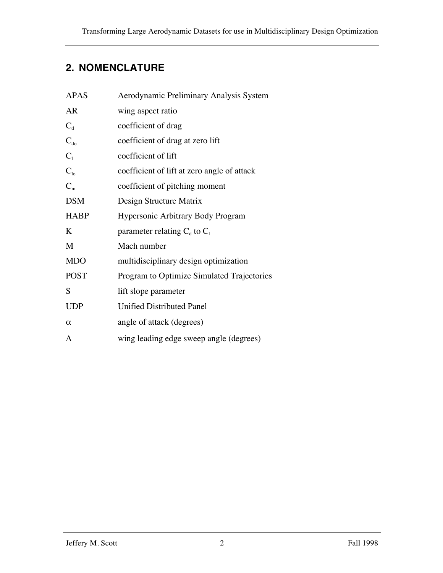# **2. NOMENCLATURE**

| <b>APAS</b> | Aerodynamic Preliminary Analysis System     |  |  |
|-------------|---------------------------------------------|--|--|
| <b>AR</b>   | wing aspect ratio                           |  |  |
| $C_{d}$     | coefficient of drag                         |  |  |
| $C_{d0}$    | coefficient of drag at zero lift            |  |  |
| $C_1$       | coefficient of lift                         |  |  |
| $C_{10}$    | coefficient of lift at zero angle of attack |  |  |
| $C_m$       | coefficient of pitching moment              |  |  |
| <b>DSM</b>  | Design Structure Matrix                     |  |  |
| <b>HABP</b> | Hypersonic Arbitrary Body Program           |  |  |
| K           | parameter relating $C_d$ to $C_1$           |  |  |
| M           | Mach number                                 |  |  |
| <b>MDO</b>  | multidisciplinary design optimization       |  |  |
| <b>POST</b> | Program to Optimize Simulated Trajectories  |  |  |
| S           | lift slope parameter                        |  |  |
| <b>UDP</b>  | <b>Unified Distributed Panel</b>            |  |  |
| $\alpha$    | angle of attack (degrees)                   |  |  |
| $\Lambda$   | wing leading edge sweep angle (degrees)     |  |  |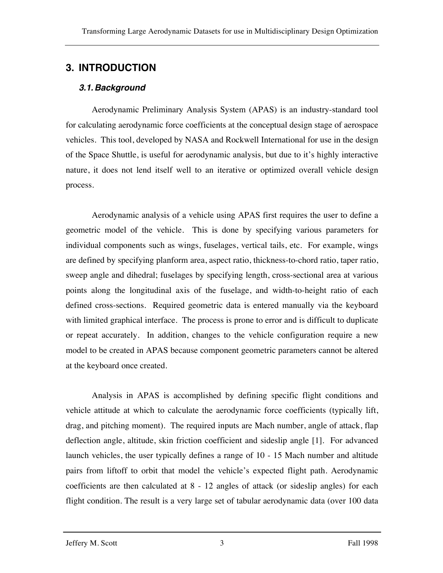# **3. INTRODUCTION**

### *3.1.Background*

Aerodynamic Preliminary Analysis System (APAS) is an industry-standard tool for calculating aerodynamic force coefficients at the conceptual design stage of aerospace vehicles. This tool, developed by NASA and Rockwell International for use in the design of the Space Shuttle, is useful for aerodynamic analysis, but due to it's highly interactive nature, it does not lend itself well to an iterative or optimized overall vehicle design process.

Aerodynamic analysis of a vehicle using APAS first requires the user to define a geometric model of the vehicle. This is done by specifying various parameters for individual components such as wings, fuselages, vertical tails, etc. For example, wings are defined by specifying planform area, aspect ratio, thickness-to-chord ratio, taper ratio, sweep angle and dihedral; fuselages by specifying length, cross-sectional area at various points along the longitudinal axis of the fuselage, and width-to-height ratio of each defined cross-sections. Required geometric data is entered manually via the keyboard with limited graphical interface. The process is prone to error and is difficult to duplicate or repeat accurately. In addition, changes to the vehicle configuration require a new model to be created in APAS because component geometric parameters cannot be altered at the keyboard once created.

Analysis in APAS is accomplished by defining specific flight conditions and vehicle attitude at which to calculate the aerodynamic force coefficients (typically lift, drag, and pitching moment). The required inputs are Mach number, angle of attack, flap deflection angle, altitude, skin friction coefficient and sideslip angle [1]. For advanced launch vehicles, the user typically defines a range of 10 - 15 Mach number and altitude pairs from liftoff to orbit that model the vehicle's expected flight path. Aerodynamic coefficients are then calculated at 8 - 12 angles of attack (or sideslip angles) for each flight condition. The result is a very large set of tabular aerodynamic data (over 100 data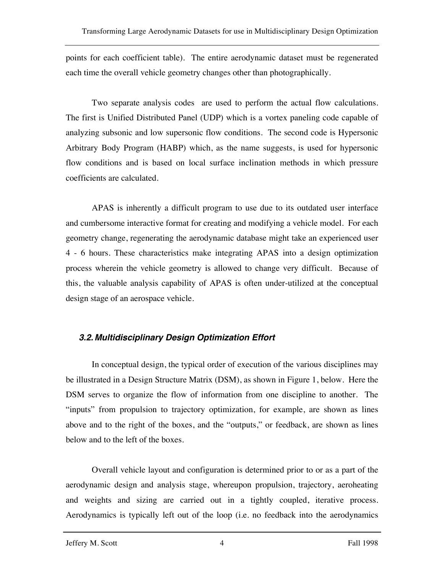points for each coefficient table). The entire aerodynamic dataset must be regenerated each time the overall vehicle geometry changes other than photographically.

Two separate analysis codes are used to perform the actual flow calculations. The first is Unified Distributed Panel (UDP) which is a vortex paneling code capable of analyzing subsonic and low supersonic flow conditions. The second code is Hypersonic Arbitrary Body Program (HABP) which, as the name suggests, is used for hypersonic flow conditions and is based on local surface inclination methods in which pressure coefficients are calculated.

APAS is inherently a difficult program to use due to its outdated user interface and cumbersome interactive format for creating and modifying a vehicle model. For each geometry change, regenerating the aerodynamic database might take an experienced user 4 - 6 hours. These characteristics make integrating APAS into a design optimization process wherein the vehicle geometry is allowed to change very difficult. Because of this, the valuable analysis capability of APAS is often under-utilized at the conceptual design stage of an aerospace vehicle.

### *3.2.Multidisciplinary Design Optimization Effort*

In conceptual design, the typical order of execution of the various disciplines may be illustrated in a Design Structure Matrix (DSM), as shown in Figure 1, below. Here the DSM serves to organize the flow of information from one discipline to another. The "inputs" from propulsion to trajectory optimization, for example, are shown as lines above and to the right of the boxes, and the "outputs," or feedback, are shown as lines below and to the left of the boxes.

Overall vehicle layout and configuration is determined prior to or as a part of the aerodynamic design and analysis stage, whereupon propulsion, trajectory, aeroheating and weights and sizing are carried out in a tightly coupled, iterative process. Aerodynamics is typically left out of the loop (i.e. no feedback into the aerodynamics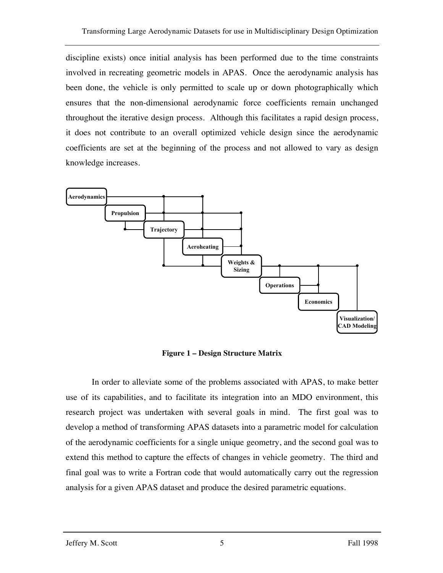discipline exists) once initial analysis has been performed due to the time constraints involved in recreating geometric models in APAS. Once the aerodynamic analysis has been done, the vehicle is only permitted to scale up or down photographically which ensures that the non-dimensional aerodynamic force coefficients remain unchanged throughout the iterative design process. Although this facilitates a rapid design process, it does not contribute to an overall optimized vehicle design since the aerodynamic coefficients are set at the beginning of the process and not allowed to vary as design knowledge increases.



**Figure 1 – Design Structure Matrix**

In order to alleviate some of the problems associated with APAS, to make better use of its capabilities, and to facilitate its integration into an MDO environment, this research project was undertaken with several goals in mind. The first goal was to develop a method of transforming APAS datasets into a parametric model for calculation of the aerodynamic coefficients for a single unique geometry, and the second goal was to extend this method to capture the effects of changes in vehicle geometry. The third and final goal was to write a Fortran code that would automatically carry out the regression analysis for a given APAS dataset and produce the desired parametric equations.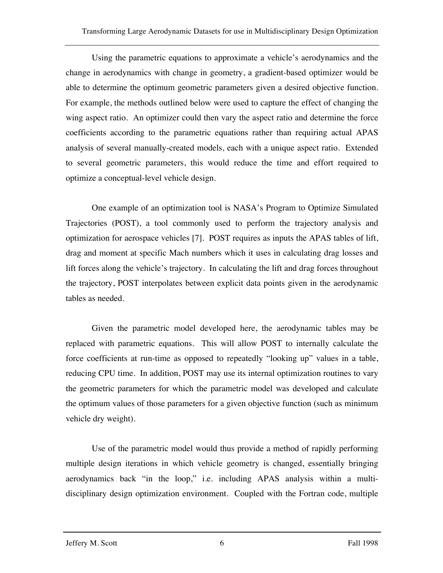Using the parametric equations to approximate a vehicle's aerodynamics and the change in aerodynamics with change in geometry, a gradient-based optimizer would be able to determine the optimum geometric parameters given a desired objective function. For example, the methods outlined below were used to capture the effect of changing the wing aspect ratio. An optimizer could then vary the aspect ratio and determine the force coefficients according to the parametric equations rather than requiring actual APAS analysis of several manually-created models, each with a unique aspect ratio. Extended to several geometric parameters, this would reduce the time and effort required to optimize a conceptual-level vehicle design.

One example of an optimization tool is NASA's Program to Optimize Simulated Trajectories (POST), a tool commonly used to perform the trajectory analysis and optimization for aerospace vehicles [7]. POST requires as inputs the APAS tables of lift, drag and moment at specific Mach numbers which it uses in calculating drag losses and lift forces along the vehicle's trajectory. In calculating the lift and drag forces throughout the trajectory, POST interpolates between explicit data points given in the aerodynamic tables as needed.

Given the parametric model developed here, the aerodynamic tables may be replaced with parametric equations. This will allow POST to internally calculate the force coefficients at run-time as opposed to repeatedly "looking up" values in a table, reducing CPU time. In addition, POST may use its internal optimization routines to vary the geometric parameters for which the parametric model was developed and calculate the optimum values of those parameters for a given objective function (such as minimum vehicle dry weight).

Use of the parametric model would thus provide a method of rapidly performing multiple design iterations in which vehicle geometry is changed, essentially bringing aerodynamics back "in the loop," i.e. including APAS analysis within a multidisciplinary design optimization environment. Coupled with the Fortran code, multiple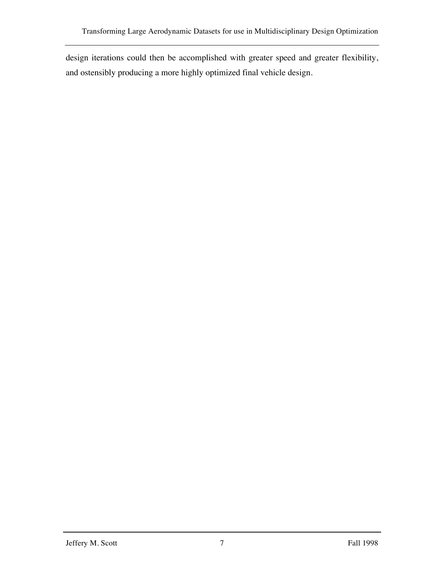design iterations could then be accomplished with greater speed and greater flexibility, and ostensibly producing a more highly optimized final vehicle design.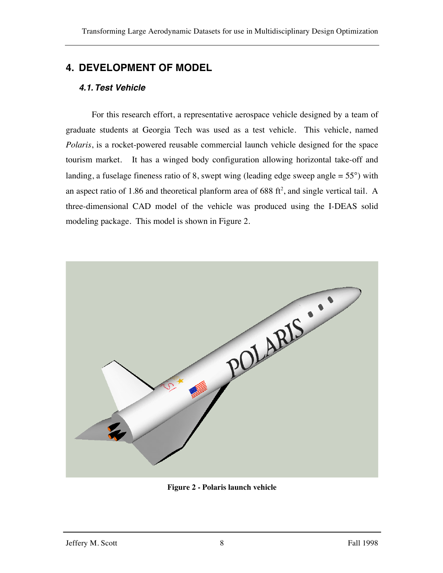# **4. DEVELOPMENT OF MODEL**

### *4.1.Test Vehicle*

For this research effort, a representative aerospace vehicle designed by a team of graduate students at Georgia Tech was used as a test vehicle. This vehicle, named *Polaris*, is a rocket-powered reusable commercial launch vehicle designed for the space tourism market. It has a winged body configuration allowing horizontal take-off and landing, a fuselage fineness ratio of 8, swept wing (leading edge sweep angle  $= 55^{\circ}$ ) with an aspect ratio of 1.86 and theoretical planform area of 688  $\text{ft}^2$ , and single vertical tail. A three-dimensional CAD model of the vehicle was produced using the I-DEAS solid modeling package. This model is shown in Figure 2.



**Figure 2 - Polaris launch vehicle**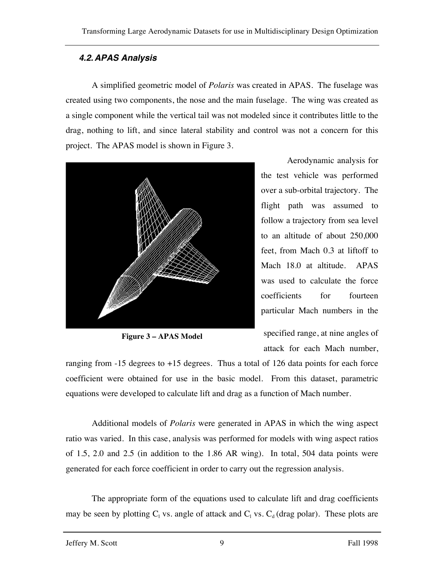### *4.2.APAS Analysis*

A simplified geometric model of *Polaris* was created in APAS. The fuselage was created using two components, the nose and the main fuselage. The wing was created as a single component while the vertical tail was not modeled since it contributes little to the drag, nothing to lift, and since lateral stability and control was not a concern for this project. The APAS model is shown in Figure 3.



**Figure 3 – APAS Model**

Aerodynamic analysis for the test vehicle was performed over a sub-orbital trajectory. The flight path was assumed to follow a trajectory from sea level to an altitude of about 250,000 feet, from Mach 0.3 at liftoff to Mach 18.0 at altitude. APAS was used to calculate the force coefficients for fourteen particular Mach numbers in the

specified range, at nine angles of attack for each Mach number,

ranging from -15 degrees to +15 degrees. Thus a total of 126 data points for each force coefficient were obtained for use in the basic model. From this dataset, parametric equations were developed to calculate lift and drag as a function of Mach number.

Additional models of *Polaris* were generated in APAS in which the wing aspect ratio was varied. In this case, analysis was performed for models with wing aspect ratios of 1.5, 2.0 and 2.5 (in addition to the 1.86 AR wing). In total, 504 data points were generated for each force coefficient in order to carry out the regression analysis.

The appropriate form of the equations used to calculate lift and drag coefficients may be seen by plotting  $C_1$  vs. angle of attack and  $C_1$  vs.  $C_d$  (drag polar). These plots are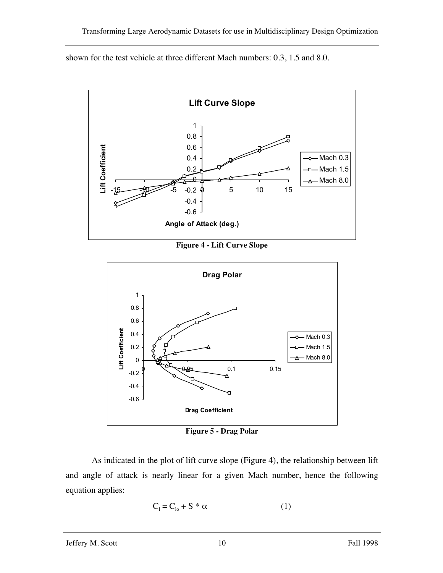shown for the test vehicle at three different Mach numbers: 0.3, 1.5 and 8.0.



**Figure 4 - Lift Curve Slope**



**Figure 5 - Drag Polar**

As indicated in the plot of lift curve slope (Figure 4), the relationship between lift and angle of attack is nearly linear for a given Mach number, hence the following equation applies:

$$
C_1 = C_{10} + S^* \alpha \tag{1}
$$

#### Jeffery M. Scott 10 Fall 1998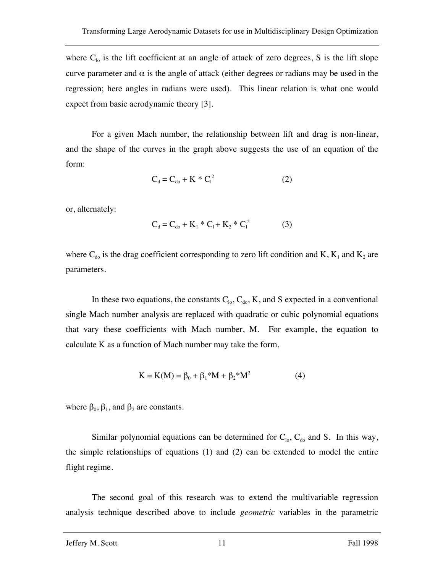where  $C_{10}$  is the lift coefficient at an angle of attack of zero degrees, S is the lift slope curve parameter and  $\alpha$  is the angle of attack (either degrees or radians may be used in the regression; here angles in radians were used). This linear relation is what one would expect from basic aerodynamic theory [3].

For a given Mach number, the relationship between lift and drag is non-linear, and the shape of the curves in the graph above suggests the use of an equation of the form:

$$
C_d = C_{do} + K * C_1^2
$$
 (2)

or, alternately:

$$
C_d = C_{do} + K_1 * C_1 + K_2 * C_1^2
$$
 (3)

where  $C_{d0}$  is the drag coefficient corresponding to zero lift condition and K,  $K_1$  and  $K_2$  are parameters.

In these two equations, the constants  $C_{10}$ ,  $C_{d0}$ , K, and S expected in a conventional single Mach number analysis are replaced with quadratic or cubic polynomial equations that vary these coefficients with Mach number, M. For example, the equation to calculate K as a function of Mach number may take the form,

$$
K = K(M) = \beta_0 + \beta_1 * M + \beta_2 * M^2
$$
 (4)

where  $\beta_0$ ,  $\beta_1$ , and  $\beta_2$  are constants.

Similar polynomial equations can be determined for  $C_{10}$ ,  $C_{40}$  and S. In this way, the simple relationships of equations (1) and (2) can be extended to model the entire flight regime.

The second goal of this research was to extend the multivariable regression analysis technique described above to include *geometric* variables in the parametric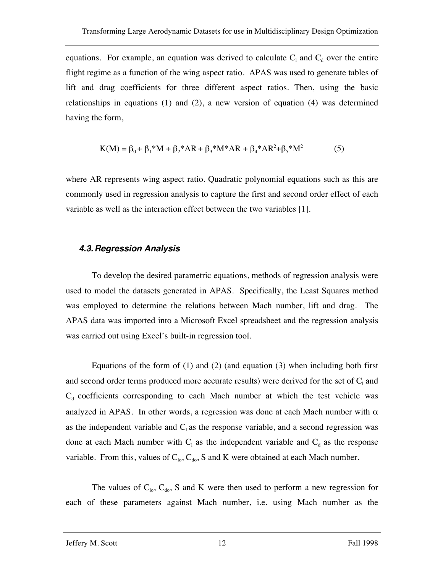equations. For example, an equation was derived to calculate  $C_1$  and  $C_d$  over the entire flight regime as a function of the wing aspect ratio. APAS was used to generate tables of lift and drag coefficients for three different aspect ratios. Then, using the basic relationships in equations (1) and (2), a new version of equation (4) was determined having the form,

$$
K(M) = \beta_0 + \beta_1 * M + \beta_2 * AR + \beta_3 * M * AR + \beta_4 * AR^2 + \beta_5 * M^2
$$
 (5)

where AR represents wing aspect ratio. Quadratic polynomial equations such as this are commonly used in regression analysis to capture the first and second order effect of each variable as well as the interaction effect between the two variables [1].

#### *4.3.Regression Analysis*

To develop the desired parametric equations, methods of regression analysis were used to model the datasets generated in APAS. Specifically, the Least Squares method was employed to determine the relations between Mach number, lift and drag. The APAS data was imported into a Microsoft Excel spreadsheet and the regression analysis was carried out using Excel's built-in regression tool.

Equations of the form of (1) and (2) (and equation (3) when including both first and second order terms produced more accurate results) were derived for the set of  $C_1$  and  $C_d$  coefficients corresponding to each Mach number at which the test vehicle was analyzed in APAS. In other words, a regression was done at each Mach number with  $\alpha$ as the independent variable and  $C_1$  as the response variable, and a second regression was done at each Mach number with  $C_1$  as the independent variable and  $C_d$  as the response variable. From this, values of  $C_{10}$ ,  $C_{d0}$ , S and K were obtained at each Mach number.

The values of  $C_{10}$ ,  $C_{40}$ , S and K were then used to perform a new regression for each of these parameters against Mach number, i.e. using Mach number as the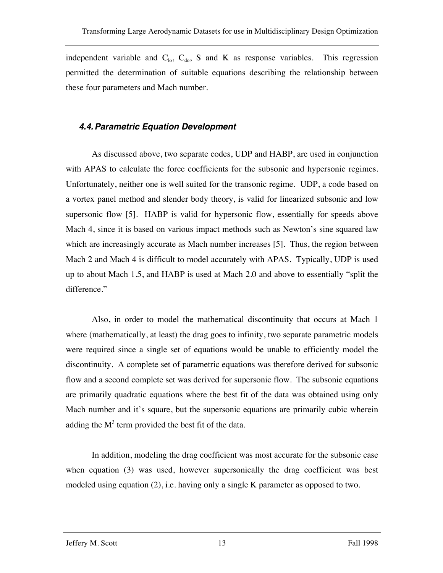independent variable and  $C_{\text{lo}}$ ,  $C_{\text{do}}$ , S and K as response variables. This regression permitted the determination of suitable equations describing the relationship between these four parameters and Mach number.

#### *4.4.Parametric Equation Development*

As discussed above, two separate codes, UDP and HABP, are used in conjunction with APAS to calculate the force coefficients for the subsonic and hypersonic regimes. Unfortunately, neither one is well suited for the transonic regime. UDP, a code based on a vortex panel method and slender body theory, is valid for linearized subsonic and low supersonic flow [5]. HABP is valid for hypersonic flow, essentially for speeds above Mach 4, since it is based on various impact methods such as Newton's sine squared law which are increasingly accurate as Mach number increases [5]. Thus, the region between Mach 2 and Mach 4 is difficult to model accurately with APAS. Typically, UDP is used up to about Mach 1.5, and HABP is used at Mach 2.0 and above to essentially "split the difference."

Also, in order to model the mathematical discontinuity that occurs at Mach 1 where (mathematically, at least) the drag goes to infinity, two separate parametric models were required since a single set of equations would be unable to efficiently model the discontinuity. A complete set of parametric equations was therefore derived for subsonic flow and a second complete set was derived for supersonic flow. The subsonic equations are primarily quadratic equations where the best fit of the data was obtained using only Mach number and it's square, but the supersonic equations are primarily cubic wherein adding the  $M<sup>3</sup>$  term provided the best fit of the data.

In addition, modeling the drag coefficient was most accurate for the subsonic case when equation (3) was used, however supersonically the drag coefficient was best modeled using equation (2), i.e. having only a single K parameter as opposed to two.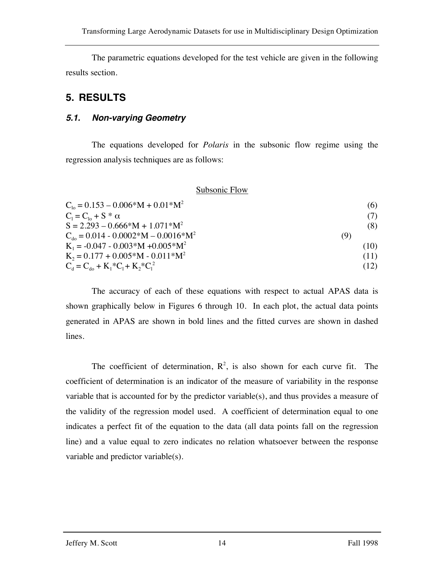The parametric equations developed for the test vehicle are given in the following results section.

# **5. RESULTS**

#### *5.1. Non-varying Geometry*

The equations developed for *Polaris* in the subsonic flow regime using the regression analysis techniques are as follows:

#### Subsonic Flow

| $C_{10} = 0.153 - 0.006*M + 0.01*M^2$           | (6)  |
|-------------------------------------------------|------|
| $C_1 = C_{1} + S^* \alpha$                      |      |
| $S = 2.293 - 0.666*M + 1.071*M^2$               | (8)  |
| $C_{\text{do}} = 0.014 - 0.0002*M - 0.0016*M^2$ | (9)  |
| $K_1 = -0.047 - 0.003*M + 0.005*M^2$            | (10) |
| $K_2 = 0.177 + 0.005*M - 0.011*M^2$             | (11) |
| $C_d = C_{do} + K_1 * C_1 + K_2 * C_1^2$        | (12) |

The accuracy of each of these equations with respect to actual APAS data is shown graphically below in Figures 6 through 10. In each plot, the actual data points generated in APAS are shown in bold lines and the fitted curves are shown in dashed lines.

The coefficient of determination,  $R^2$ , is also shown for each curve fit. The coefficient of determination is an indicator of the measure of variability in the response variable that is accounted for by the predictor variable(s), and thus provides a measure of the validity of the regression model used. A coefficient of determination equal to one indicates a perfect fit of the equation to the data (all data points fall on the regression line) and a value equal to zero indicates no relation whatsoever between the response variable and predictor variable(s).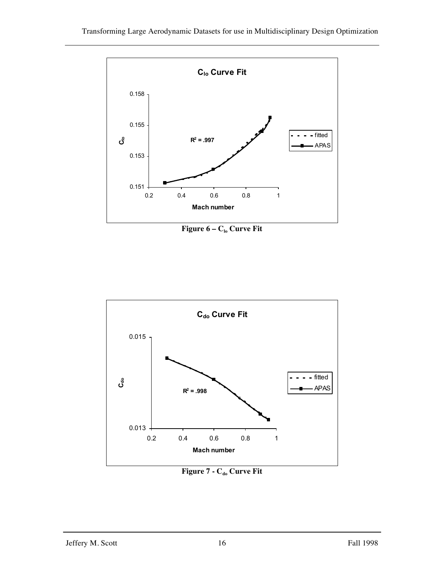

**Figure 6 – C<sub>lo</sub> Curve Fit** 



**Figure 7 - C<sub>do</sub> Curve Fit**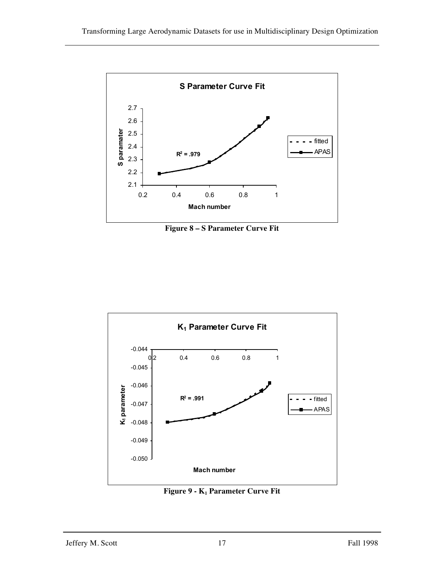

**Figure 8 – S Parameter Curve Fit**



**Figure 9 -**  $K_1$  **Parameter Curve Fit**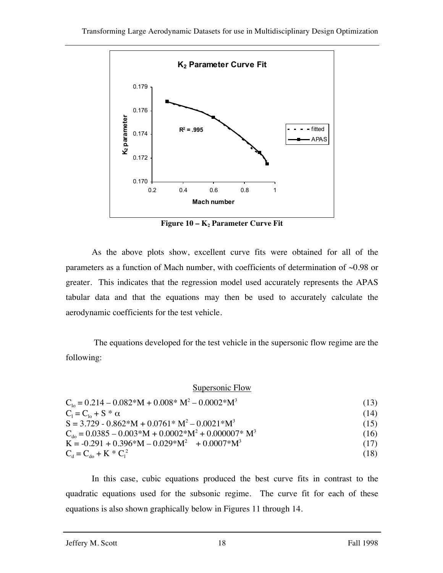

**Figure 10 – K<sub>2</sub> Parameter Curve Fit** 

As the above plots show, excellent curve fits were obtained for all of the parameters as a function of Mach number, with coefficients of determination of ~0.98 or greater. This indicates that the regression model used accurately represents the APAS tabular data and that the equations may then be used to accurately calculate the aerodynamic coefficients for the test vehicle.

The equations developed for the test vehicle in the supersonic flow regime are the following:

Supersonic Flow

| $C_{10} = 0.214 - 0.082*M + 0.008*M^2 - 0.0002*M^3$                              | (13) |
|----------------------------------------------------------------------------------|------|
| $C_1 = C_{10} + S^* \alpha$                                                      | (14) |
| $S = 3.729 - 0.862*M + 0.0761*M^{2} - 0.0021*M^{3}$                              | (15) |
| $C_{\text{do}} = 0.0385 - 0.003 \cdot M + 0.0002 \cdot M^2 + 0.000007 \cdot M^3$ | (16) |
| $K = -0.291 + 0.396*M - 0.029*M^2 + 0.0007*M^3$                                  | (17) |
| $C_d = C_{do} + K * C_1^2$                                                       | (18) |

In this case, cubic equations produced the best curve fits in contrast to the quadratic equations used for the subsonic regime. The curve fit for each of these equations is also shown graphically below in Figures 11 through 14.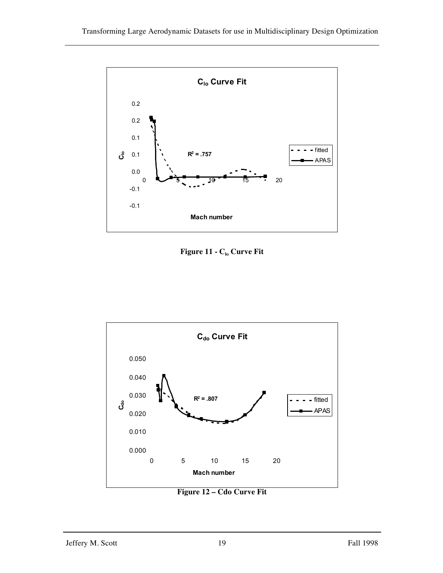

**Figure 11 - C<sub>lo</sub> Curve Fit** 



**Figure 12 – Cdo Curve Fit**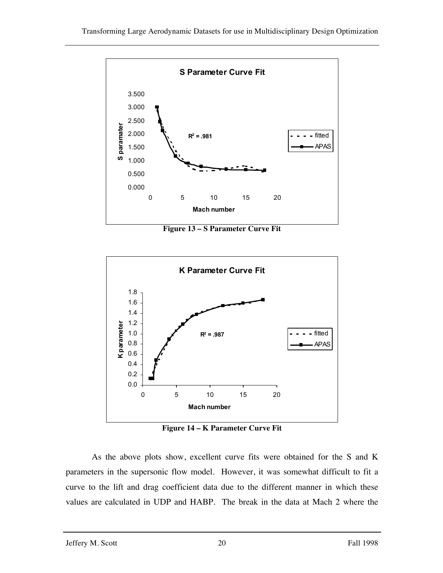

**Figure 13 – S Parameter Curve Fit**



**Figure 14 – K Parameter Curve Fit**

As the above plots show, excellent curve fits were obtained for the S and K parameters in the supersonic flow model. However, it was somewhat difficult to fit a curve to the lift and drag coefficient data due to the different manner in which these values are calculated in UDP and HABP. The break in the data at Mach 2 where the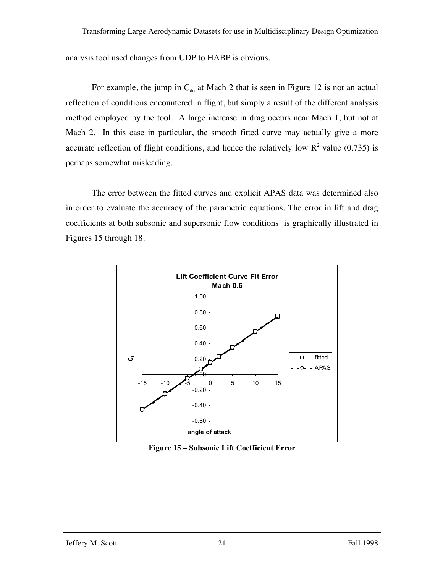analysis tool used changes from UDP to HABP is obvious.

For example, the jump in  $C_{d0}$  at Mach 2 that is seen in Figure 12 is not an actual reflection of conditions encountered in flight, but simply a result of the different analysis method employed by the tool. A large increase in drag occurs near Mach 1, but not at Mach 2. In this case in particular, the smooth fitted curve may actually give a more accurate reflection of flight conditions, and hence the relatively low  $R^2$  value (0.735) is perhaps somewhat misleading.

The error between the fitted curves and explicit APAS data was determined also in order to evaluate the accuracy of the parametric equations. The error in lift and drag coefficients at both subsonic and supersonic flow conditions is graphically illustrated in Figures 15 through 18.



**Figure 15 – Subsonic Lift Coefficient Error**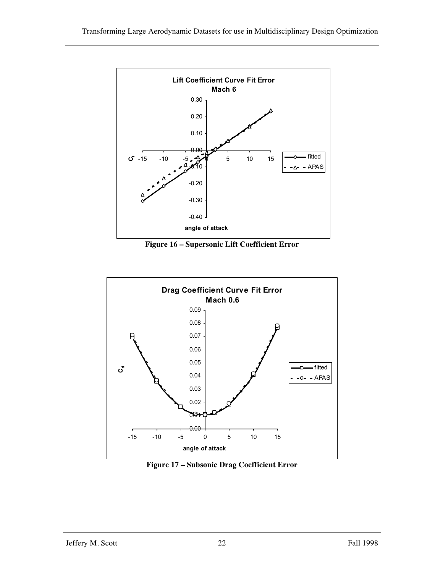

**Figure 16 – Supersonic Lift Coefficient Error**



**Figure 17 – Subsonic Drag Coefficient Error**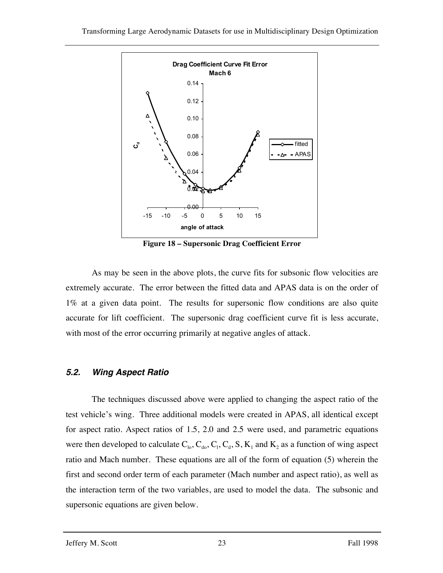

**Figure 18 – Supersonic Drag Coefficient Error**

As may be seen in the above plots, the curve fits for subsonic flow velocities are extremely accurate. The error between the fitted data and APAS data is on the order of 1% at a given data point. The results for supersonic flow conditions are also quite accurate for lift coefficient. The supersonic drag coefficient curve fit is less accurate, with most of the error occurring primarily at negative angles of attack.

#### *5.2. Wing Aspect Ratio*

The techniques discussed above were applied to changing the aspect ratio of the test vehicle's wing. Three additional models were created in APAS, all identical except for aspect ratio. Aspect ratios of 1.5, 2.0 and 2.5 were used, and parametric equations were then developed to calculate  $C_{lo}$ ,  $C_{do}$ ,  $C_1$ ,  $C_d$ , S,  $K_1$  and  $K_2$  as a function of wing aspect ratio and Mach number. These equations are all of the form of equation (5) wherein the first and second order term of each parameter (Mach number and aspect ratio), as well as the interaction term of the two variables, are used to model the data. The subsonic and supersonic equations are given below.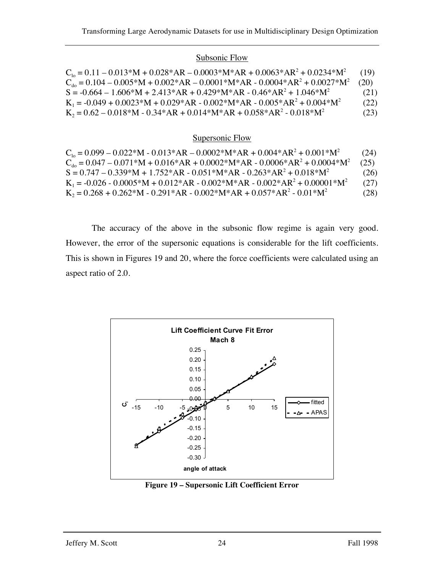#### Subsonic Flow

| $C_{10} = 0.11 - 0.013*M + 0.028*AR - 0.0003*M*AR + 0.0063*AR^2 + 0.0234*M^2$          | (19) |
|----------------------------------------------------------------------------------------|------|
| $C_{\text{do}} = 0.104 - 0.005*M + 0.002*AR - 0.0001*M*AR - 0.0004*AR^2 + 0.0027*M^2$  | (20) |
| $S = -0.664 - 1.606*M + 2.413*AR + 0.429*M*AR - 0.46*AR^{2} + 1.046*M^{2}$             | (21) |
| $K_1 = -0.049 + 0.0023 * M + 0.029 * AR - 0.002 * M * AR - 0.005 * AR^2 + 0.004 * M^2$ | (22) |
| $K_2 = 0.62 - 0.018*M - 0.34*AR + 0.014*M*AR + 0.058*AR^2 - 0.018*M^2$                 | (23) |

#### Supersonic Flow

| $C_{10} = 0.099 - 0.022*M - 0.013*AR - 0.0002*M*AR + 0.004*AR2 + 0.001*M2$            | (24) |
|---------------------------------------------------------------------------------------|------|
| $C_{\text{do}} = 0.047 - 0.071*M + 0.016*AR + 0.0002*M*AR - 0.0006*AR^2 + 0.0004*M^2$ | (25) |
| $S = 0.747 - 0.339^*M + 1.752^*AR - 0.051^*M^*AR - 0.263^*AR^2 + 0.018^*M^2$          | (26) |
| $K_1 = -0.026 - 0.0005*M + 0.012*AR - 0.002*M*AR - 0.002*AR^2 + 0.00001*M^2$          | (27) |
| $K_2 = 0.268 + 0.262 * M - 0.291 * AR - 0.002 * M * AR + 0.057 * AR^2 - 0.01 * M^2$   | (28) |

The accuracy of the above in the subsonic flow regime is again very good. However, the error of the supersonic equations is considerable for the lift coefficients. This is shown in Figures 19 and 20, where the force coefficients were calculated using an aspect ratio of 2.0.



**Figure 19 – Supersonic Lift Coefficient Error**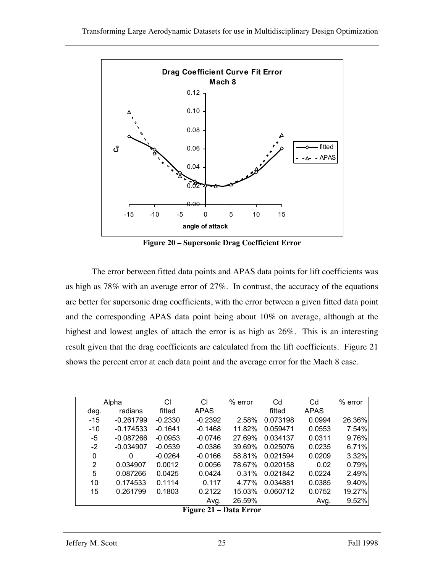

**Figure 20 – Supersonic Drag Coefficient Error**

The error between fitted data points and APAS data points for lift coefficients was as high as 78% with an average error of 27%. In contrast, the accuracy of the equations are better for supersonic drag coefficients, with the error between a given fitted data point and the corresponding APAS data point being about 10% on average, although at the highest and lowest angles of attach the error is as high as 26%. This is an interesting result given that the drag coefficients are calculated from the lift coefficients. Figure 21 shows the percent error at each data point and the average error for the Mach 8 case.

| Alpha |             | СI        | СI        | % error | Cd       | Cd          | % error |
|-------|-------------|-----------|-----------|---------|----------|-------------|---------|
| deg.  | radians     | fitted    | APAS      |         | fitted   | <b>APAS</b> |         |
| $-15$ | $-0.261799$ | $-0.2330$ | $-0.2392$ | 2.58%   | 0.073198 | 0.0994      | 26.36%  |
| $-10$ | $-0.174533$ | $-0.1641$ | $-0.1468$ | 11.82%  | 0.059471 | 0.0553      | 7.54%   |
| -5    | $-0.087266$ | $-0.0953$ | $-0.0746$ | 27.69%  | 0.034137 | 0.0311      | 9.76%   |
| $-2$  | $-0.034907$ | $-0.0539$ | $-0.0386$ | 39.69%  | 0.025076 | 0.0235      | 6.71%   |
| 0     | 0           | $-0.0264$ | $-0.0166$ | 58.81%  | 0.021594 | 0.0209      | 3.32%   |
| 2     | 0.034907    | 0.0012    | 0.0056    | 78.67%  | 0.020158 | 0.02        | 0.79%   |
| 5     | 0.087266    | 0.0425    | 0.0424    | 0.31%   | 0.021842 | 0.0224      | 2.49%   |
| 10    | 0.174533    | 0.1114    | 0.117     | 4.77%   | 0.034881 | 0.0385      | 9.40%   |
| 15    | 0.261799    | 0.1803    | 0.2122    | 15.03%  | 0.060712 | 0.0752      | 19.27%  |
|       |             |           | Avg.      | 26.59%  |          | Avg.        | 9.52%   |

**Figure 21 – Data Error**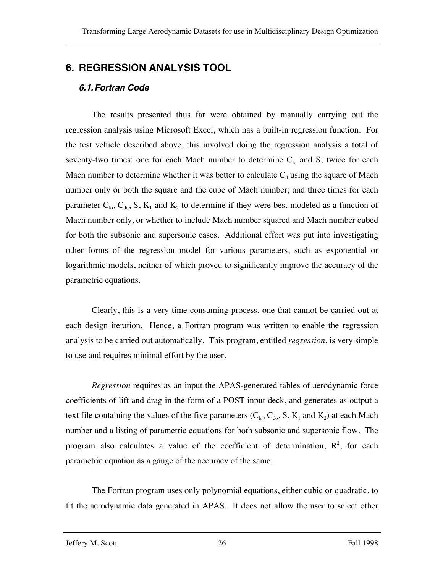# **6. REGRESSION ANALYSIS TOOL**

### *6.1.Fortran Code*

The results presented thus far were obtained by manually carrying out the regression analysis using Microsoft Excel, which has a built-in regression function. For the test vehicle described above, this involved doing the regression analysis a total of seventy-two times: one for each Mach number to determine  $C_{10}$  and S; twice for each Mach number to determine whether it was better to calculate  $C_d$  using the square of Mach number only or both the square and the cube of Mach number; and three times for each parameter  $C_{10}$ ,  $C_{40}$ , S, K<sub>1</sub> and K<sub>2</sub> to determine if they were best modeled as a function of Mach number only, or whether to include Mach number squared and Mach number cubed for both the subsonic and supersonic cases. Additional effort was put into investigating other forms of the regression model for various parameters, such as exponential or logarithmic models, neither of which proved to significantly improve the accuracy of the parametric equations.

Clearly, this is a very time consuming process, one that cannot be carried out at each design iteration. Hence, a Fortran program was written to enable the regression analysis to be carried out automatically. This program, entitled *regression*, is very simple to use and requires minimal effort by the user.

*Regression* requires as an input the APAS-generated tables of aerodynamic force coefficients of lift and drag in the form of a POST input deck, and generates as output a text file containing the values of the five parameters  $(C_{10}, C_{10}, S, K_1$  and  $K_2$ ) at each Mach number and a listing of parametric equations for both subsonic and supersonic flow. The program also calculates a value of the coefficient of determination,  $R^2$ , for each parametric equation as a gauge of the accuracy of the same.

The Fortran program uses only polynomial equations, either cubic or quadratic, to fit the aerodynamic data generated in APAS. It does not allow the user to select other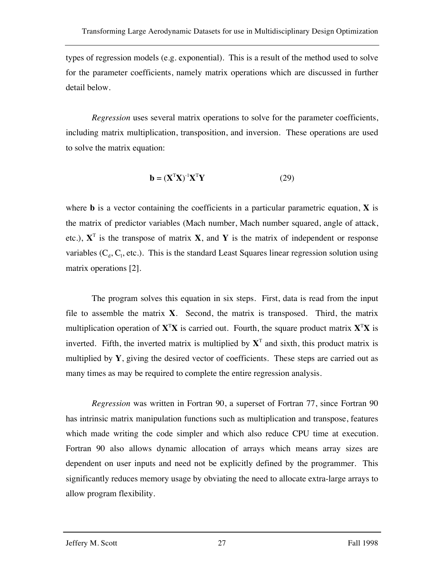types of regression models (e.g. exponential). This is a result of the method used to solve for the parameter coefficients, namely matrix operations which are discussed in further detail below.

*Regression* uses several matrix operations to solve for the parameter coefficients, including matrix multiplication, transposition, and inversion. These operations are used to solve the matrix equation:

$$
\mathbf{b} = (\mathbf{X}^{\mathrm{T}} \mathbf{X})^{-1} \mathbf{X}^{\mathrm{T}} \mathbf{Y}
$$
 (29)

where **b** is a vector containing the coefficients in a particular parametric equation, **X** is the matrix of predictor variables (Mach number, Mach number squared, angle of attack, etc.),  $X^T$  is the transpose of matrix **X**, and **Y** is the matrix of independent or response variables  $(C_d, C_l,$  etc.). This is the standard Least Squares linear regression solution using matrix operations [2].

The program solves this equation in six steps. First, data is read from the input file to assemble the matrix **X**. Second, the matrix is transposed. Third, the matrix multiplication operation of **X**<sup>T</sup> **X** is carried out. Fourth, the square product matrix **X**<sup>T</sup> **X** is inverted. Fifth, the inverted matrix is multiplied by  $X<sup>T</sup>$  and sixth, this product matrix is multiplied by **Y**, giving the desired vector of coefficients. These steps are carried out as many times as may be required to complete the entire regression analysis.

*Regression* was written in Fortran 90, a superset of Fortran 77, since Fortran 90 has intrinsic matrix manipulation functions such as multiplication and transpose, features which made writing the code simpler and which also reduce CPU time at execution. Fortran 90 also allows dynamic allocation of arrays which means array sizes are dependent on user inputs and need not be explicitly defined by the programmer. This significantly reduces memory usage by obviating the need to allocate extra-large arrays to allow program flexibility.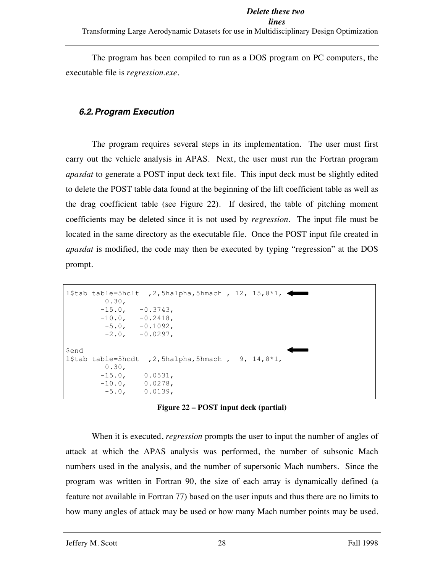#### *Delete these two*

#### *lines*

Transforming Large Aerodynamic Datasets for use in Multidisciplinary Design Optimization

The program has been compiled to run as a DOS program on PC computers, the executable file is *regression.exe*.

#### *6.2.Program Execution*

The program requires several steps in its implementation. The user must first carry out the vehicle analysis in APAS. Next, the user must run the Fortran program *apasdat* to generate a POST input deck text file. This input deck must be slightly edited to delete the POST table data found at the beginning of the lift coefficient table as well as the drag coefficient table (see Figure 22). If desired, the table of pitching moment coefficients may be deleted since it is not used by *regression*. The input file must be located in the same directory as the executable file. Once the POST input file created in *apasdat* is modified, the code may then be executed by typing "regression" at the DOS prompt.



**Figure 22 – POST input deck (partial)**

When it is executed, *regression* prompts the user to input the number of angles of attack at which the APAS analysis was performed, the number of subsonic Mach numbers used in the analysis, and the number of supersonic Mach numbers. Since the program was written in Fortran 90, the size of each array is dynamically defined (a feature not available in Fortran 77) based on the user inputs and thus there are no limits to how many angles of attack may be used or how many Mach number points may be used.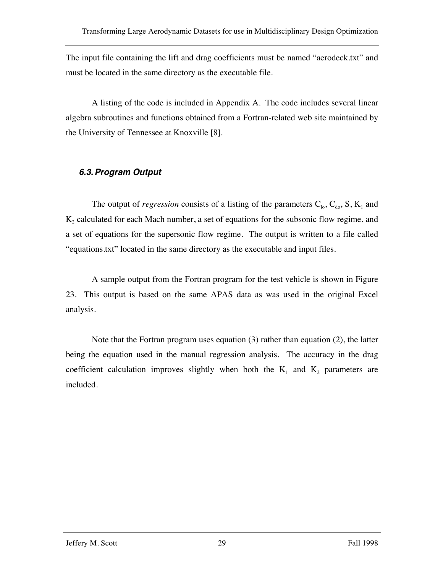The input file containing the lift and drag coefficients must be named "aerodeck.txt" and must be located in the same directory as the executable file.

A listing of the code is included in Appendix A. The code includes several linear algebra subroutines and functions obtained from a Fortran-related web site maintained by the University of Tennessee at Knoxville [8].

### *6.3.Program Output*

The output of *regression* consists of a listing of the parameters  $C_{10}$ ,  $C_{40}$ , S, K<sub>1</sub> and  $K<sub>2</sub>$  calculated for each Mach number, a set of equations for the subsonic flow regime, and a set of equations for the supersonic flow regime. The output is written to a file called "equations.txt" located in the same directory as the executable and input files.

A sample output from the Fortran program for the test vehicle is shown in Figure 23. This output is based on the same APAS data as was used in the original Excel analysis.

Note that the Fortran program uses equation (3) rather than equation (2), the latter being the equation used in the manual regression analysis. The accuracy in the drag coefficient calculation improves slightly when both the  $K_1$  and  $K_2$  parameters are included.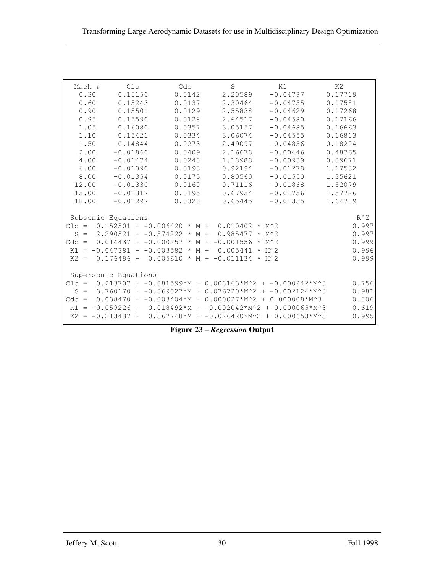| Mach #               | C1 <sub>O</sub>                                    | Cdo    | S                | K1                                                              | K2      |  |  |
|----------------------|----------------------------------------------------|--------|------------------|-----------------------------------------------------------------|---------|--|--|
| 0.30                 | 0.15150                                            | 0.0142 | 2.20589          | $-0.04797$                                                      | 0.17719 |  |  |
| 0.60                 | 0.15243                                            | 0.0137 | 2.30464          | $-0.04755$                                                      | 0.17581 |  |  |
| 0.90                 | 0.15501                                            | 0.0129 | 2.55838          | $-0.04629$                                                      | 0.17268 |  |  |
| 0.95                 | 0.15590                                            | 0.0128 | 2.64517          | $-0.04580$                                                      | 0.17166 |  |  |
| 1.05                 | 0.16080                                            | 0.0357 | 3.05157          | $-0.04685$                                                      | 0.16663 |  |  |
| 1.10                 | 0.15421                                            | 0.0334 | 3.06074          | $-0.04555$                                                      | 0.16813 |  |  |
| 1.50                 | 0.14844                                            | 0.0273 | 2.49097          | $-0.04856$                                                      | 0.18204 |  |  |
| 2.00                 | $-0.01860$                                         | 0.0409 | 2.16678          | $-0.00446$                                                      | 0.48765 |  |  |
| 4.00                 | $-0.01474$                                         | 0.0240 | 1.18988          | $-0.00939$                                                      | 0.89671 |  |  |
| 6.00                 | $-0.01390$                                         | 0.0193 | 0.92194          | $-0.01278$                                                      | 1.17532 |  |  |
| 8.00                 | $-0.01354$                                         | 0.0175 | 0.80560          | $-0.01550$                                                      | 1.35621 |  |  |
| 12.00                | $-0.01330$                                         | 0.0160 | 0.71116          | $-0.01868$                                                      | 1.52079 |  |  |
| 15.00                | $-0.01317$                                         | 0.0195 | 0.67954          | $-0.01756$                                                      | 1.57726 |  |  |
| 18.00                | $-0.01297$                                         | 0.0320 | 0.65445          | $-0.01335$                                                      | 1.64789 |  |  |
|                      |                                                    |        |                  |                                                                 |         |  |  |
|                      | Subsonic Equations                                 |        |                  |                                                                 | $R^2$   |  |  |
|                      | Clo = $0.152501 + -0.006420 * M + 0.010402 * M^2$  |        |                  |                                                                 | 0.997   |  |  |
|                      | $S = 2.290521 + -0.574222 \times M +$              |        | $0.985477$ * M^2 |                                                                 | 0.997   |  |  |
|                      | Cdo = $0.014437 + -0.000257 * M + -0.001556 * M^2$ |        |                  |                                                                 | 0.999   |  |  |
|                      | $K1 = -0.047381 + -0.003582 * M +$                 |        | $0.005441 * M^2$ |                                                                 | 0.996   |  |  |
|                      | $K2 = 0.176496 + 0.005610 * M + -0.011134 * M^2$   |        |                  |                                                                 | 0.999   |  |  |
|                      |                                                    |        |                  |                                                                 |         |  |  |
| Supersonic Equations |                                                    |        |                  |                                                                 |         |  |  |
| $C1o =$              |                                                    |        |                  | $0.213707 + -0.081599*M + 0.008163*M^2 + -0.000242*M^3$         | 0.756   |  |  |
| $S =$                |                                                    |        |                  | $3.760170 + -0.869027*M + 0.076720*M^2 + -0.002124*M^3$         | 0.981   |  |  |
|                      |                                                    |        |                  | Cdo = $0.038470 + -0.003404*M + 0.000027*M^2 + 0.000008*M^3$    | 0.806   |  |  |
|                      |                                                    |        |                  | K1 = -0.059226 + 0.018492*M + -0.002042*M^2 + 0.000065*M^3      | 0.619   |  |  |
|                      |                                                    |        |                  | $K2 = -0.213437 + 0.367748$ *M + -0.026420 *M^2 + 0.000653 *M^3 | 0.995   |  |  |
|                      |                                                    |        |                  |                                                                 |         |  |  |

**Figure 23 –** *Regression* **Output**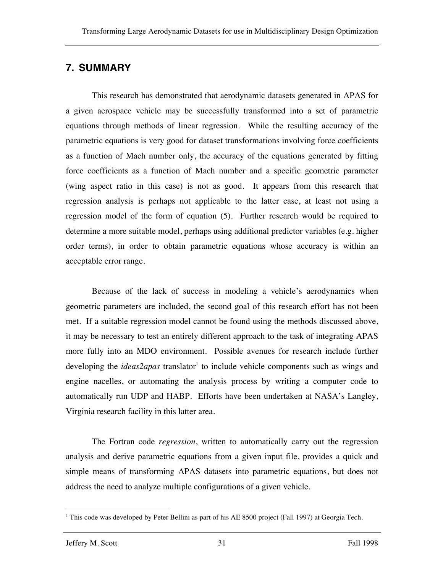### **7. SUMMARY**

This research has demonstrated that aerodynamic datasets generated in APAS for a given aerospace vehicle may be successfully transformed into a set of parametric equations through methods of linear regression. While the resulting accuracy of the parametric equations is very good for dataset transformations involving force coefficients as a function of Mach number only, the accuracy of the equations generated by fitting force coefficients as a function of Mach number and a specific geometric parameter (wing aspect ratio in this case) is not as good. It appears from this research that regression analysis is perhaps not applicable to the latter case, at least not using a regression model of the form of equation (5). Further research would be required to determine a more suitable model, perhaps using additional predictor variables (e.g. higher order terms), in order to obtain parametric equations whose accuracy is within an acceptable error range.

Because of the lack of success in modeling a vehicle's aerodynamics when geometric parameters are included, the second goal of this research effort has not been met. If a suitable regression model cannot be found using the methods discussed above, it may be necessary to test an entirely different approach to the task of integrating APAS more fully into an MDO environment. Possible avenues for research include further developing the *ideas2apas* translator<sup>1</sup> to include vehicle components such as wings and engine nacelles, or automating the analysis process by writing a computer code to automatically run UDP and HABP. Efforts have been undertaken at NASA's Langley, Virginia research facility in this latter area.

The Fortran code *regression*, written to automatically carry out the regression analysis and derive parametric equations from a given input file, provides a quick and simple means of transforming APAS datasets into parametric equations, but does not address the need to analyze multiple configurations of a given vehicle.

<sup>&</sup>lt;sup>1</sup> This code was developed by Peter Bellini as part of his AE 8500 project (Fall 1997) at Georgia Tech.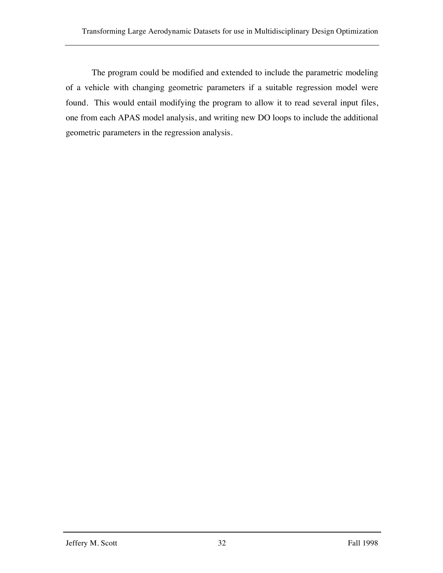The program could be modified and extended to include the parametric modeling of a vehicle with changing geometric parameters if a suitable regression model were found. This would entail modifying the program to allow it to read several input files, one from each APAS model analysis, and writing new DO loops to include the additional geometric parameters in the regression analysis.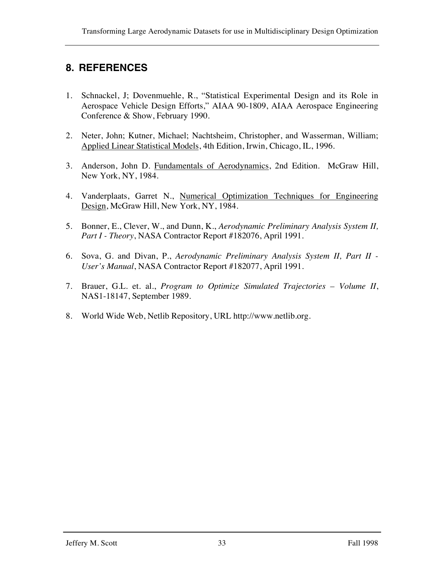# **8. REFERENCES**

- 1. Schnackel, J; Dovenmuehle, R., "Statistical Experimental Design and its Role in Aerospace Vehicle Design Efforts," AIAA 90-1809, AIAA Aerospace Engineering Conference & Show, February 1990.
- 2. Neter, John; Kutner, Michael; Nachtsheim, Christopher, and Wasserman, William; Applied Linear Statistical Models, 4th Edition, Irwin, Chicago, IL, 1996.
- 3. Anderson, John D. Fundamentals of Aerodynamics, 2nd Edition. McGraw Hill, New York, NY, 1984.
- 4. Vanderplaats, Garret N., Numerical Optimization Techniques for Engineering Design, McGraw Hill, New York, NY, 1984.
- 5. Bonner, E., Clever, W., and Dunn, K., *Aerodynamic Preliminary Analysis System II, Part I - Theory*, NASA Contractor Report #182076, April 1991.
- 6. Sova, G. and Divan, P., *Aerodynamic Preliminary Analysis System II, Part II - User's Manual*, NASA Contractor Report #182077, April 1991.
- 7. Brauer, G.L. et. al., *Program to Optimize Simulated Trajectories – Volume II*, NAS1-18147, September 1989.
- 8. World Wide Web, Netlib Repository, URL http://www.netlib.org.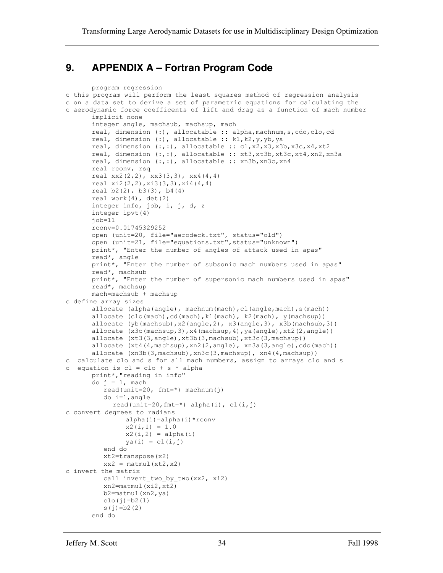### **9. APPENDIX A – Fortran Program Code**

```
program regression
c this program will perform the least squares method of regression analysis
c on a data set to derive a set of parametric equations for calculating the
c aerodynamic force coefficents of lift and drag as a function of mach number
      implicit none
      integer angle, machsub, machsup, mach
      real, dimension (:), allocatable :: alpha,machnum,s,cdo,clo,cd
      real, dimension (:), allocatable :: k1,k2,y,yb,ya
      real, dimension (:,:), allocatable :: cl,x2,x3,x3b,x3c,x4,xt2
      real, dimension (:,:), allocatable :: xt3,xt3b,xt3c,xt4,xn2,xn3a
      real, dimension (:,:), allocatable :: xn3b,xn3c,xn4
      real rconv, rsq
      real xx2(2,2), xx3(3,3), xx4(4,4)
      real xi2(2,2),xi3(3,3),xi4(4,4)
      real b2(2), b3(3), b4(4)
      real work(4), det(2)integer info, job, i, j, d, z
      integer ipvt(4)
      job=11rconv=0.01745329252
      open (unit=20, file="aerodeck.txt", status="old")
      open (unit=21, file="equations.txt",status="unknown")
      print*, "Enter the number of angles of attack used in apas"
      read*, angle
      print*, "Enter the number of subsonic mach numbers used in apas"
      read*, machsub
      print*, "Enter the number of supersonic mach numbers used in apas"
      read*, machsup
      mach=machsub + machsup
c define array sizes
      allocate (alpha(angle), machnum(mach),cl(angle,mach),s(mach))
      allocate (clo(mach),cd(mach),k1(mach), k2(mach), y(machsup))
      allocate (yb(machsub),x2(angle,2), x3(angle,3), x3b(machsub,3))
      allocate (x3c(machsup, 3), x4(machsup, 4), ya(angle), xt2(2, angle))
      allocate (xt3(3,angle),xt3b(3,machsub),xt3c(3,machsup))
      allocate (xt4(4,machsup),xn2(2,angle), xn3a(3,angle),cdo(mach))
      allocate (xn3b(3,machsub),xn3c(3,machsup), xn4(4,machsup))
c calculate clo and s for all mach numbers, assign to arrays clo and s
c equation is cl = clo + s * alphaprint*,"reading in info"
      do j = 1, mach
          read(unit=20, fmt=*) machnum(j)
          do i=1,angle
           read(unit=20, fmt=*) alpha(i), cl(i,j)c convert degrees to radians
                alpha(i)=alpha(i)*rconv
               x2(i,1) = 1.0x2(i,2) = alpha(i)ya(i) = cl(i,j) end do
          xt2=transpose(x2)
         xx2 = \text{matmul}(xt2, x2)c invert the matrix
         call invert two by two (xx2, xi2) xn2=matmul(xi2,xt2)
          b2=matmul(xn2,ya)
         clo(j)=b2(1)s(j) = b2(2)end do
```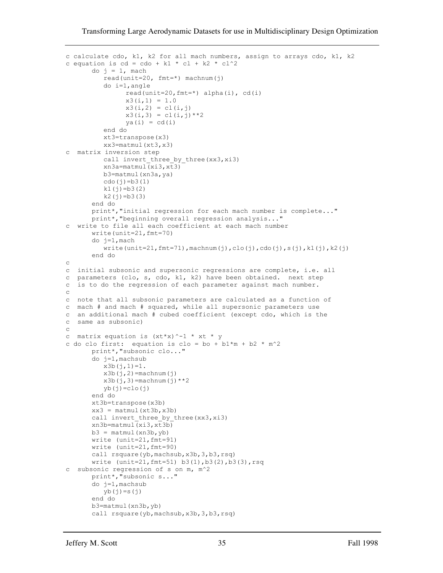```
c calculate cdo, k1, k2 for all mach numbers, assign to arrays cdo, k1, k2
c equation is cd = cdo + k1 * c1 + k2 * c1^2do i = 1, mach
          read(unit=20, fmt=*) machnum(j)
           do i=1,angle
                read(unit=20, fmt=*) alpha(i), cd(i)x3(i,1) = 1.0x3(i,2) = cl(i,j)x3(i,3) = cl(i,j) *2ya(i) = cd(i) end do
           xt3=transpose(x3)
           xx3=matmul(xt3,x3)
c matrix inversion step
           call invert_three_by_three(xx3,xi3)
          xn3a=matmul(xi3,xt3) b3=matmul(xn3a,ya)
          \text{cdo}(i) = b3(1)k1(j)=b3(2)k2(i) = b3(3)end do
       print*,"initial regression for each mach number is complete..."
       print*,"beginning overall regression analysis..."
c write to file all each coefficient at each mach number
       write(unit=21,fmt=70)
       do j=1,mach
          write(unit=21, fmt=71), machine(j),clo(j),cdo(j),s(j),kl(j),k2(j)end do
\mathtt{C}c initial subsonic and supersonic regressions are complete, i.e. all
c parameters (clo, s, cdo, k1, k2) have been obtained. next step
c is to do the regression of each parameter against mach number.
c
c note that all subsonic parameters are calculated as a function of
c mach # and mach # squared, while all supersonic parameters use
c an additional mach # cubed coefficient (except cdo, which is the
c same as subsonic)
\mathcal{C}c matrix equation is (xt*x)^{-1} * xt * y
c do clo first: equation is clo = bo + b1 \text{\texttt{m}} + b2 \text{\texttt{m}} m^2
       print*,"subsonic clo..."
       do j=1,machsub
          x3b(j,1)=1.
          x3b(j,2)=machnum(j)
          x3b(j,3)=machnum(j) **2
          yb(j)=clo(j)end do
      xt3b=transpose(x3b)
      xx3 = \text{matmul}(xt3b, x3b)call invert three by three(xx3,xi3)
      xn3b=matmul(xi3,xt3b)
      b3 = \text{matmul}(\text{xn3b}, \text{yb})write (unit=21,fmt=91)
       write (unit=21,fmt=90)
       call rsquare(yb,machsub,x3b,3,b3,rsq)
       write (unit=21,fmt=51) b3(1),b3(2),b3(3),rsq
c subsonic regression of s on m, m^2
       print*,"subsonic s..."
       do j=1,machsub
          y\bar{b}(\dot{j})=s(\dot{j})end do
       b3=matmul(xn3b,yb)
       call rsquare(yb,machsub,x3b,3,b3,rsq)
```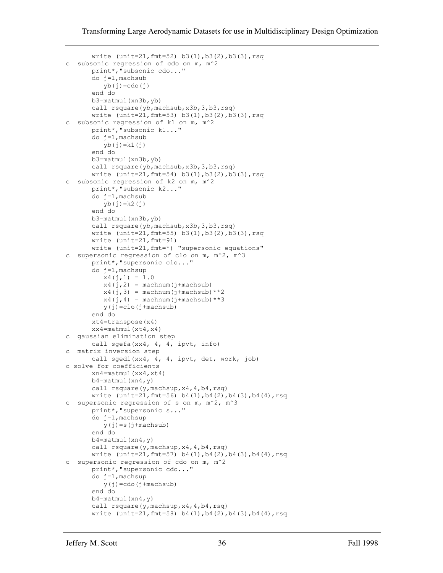```
write (unit=21,fmt=52) b3(1),b3(2),b3(3),rsq
c subsonic regression of cdo on m, m^2
      print*,"subsonic cdo..."
      do j=1,machsub
         yb(j)=cdo(j)end do
      b3=matmul(xn3b,yb)
      call rsquare(yb,machsub,x3b,3,b3,rsq)
      write (unit=21,fmt=53) b3(1),b3(2),b3(3),rsq
c subsonic regression of k1 on m, m^2
      print*,"subsonic k1..."
      do j=1,machsub
         yb(j)=k1(j)end do
      b3=matmul(xn3b,yb)
      call rsquare(yb,machsub,x3b,3,b3,rsq)
      write (unit=21,fmt=54) b3(1),b3(2),b3(3),rsq
c subsonic regression of k2 on m, m^2
      print*,"subsonic k2..."
      do j=1,machsub
          yb(j)=k2(j)
      end do
      b3=matmul(xn3b,yb)
      call rsquare(yb,machsub,x3b,3,b3,rsq)
      write (unit=21,fmt=55) b3(1),b3(2),b3(3),rsq
      write (unit=21,fmt=91)
      write (unit=21,fmt=*) "supersonic equations"
c supersonic regression of clo on m, m^2, m^3
      print*,"supersonic clo..."
      do j=1,machsup
         x4(j,1) = 1.0x4(j,2) = \text{machnum}(j+\text{machsub})x4(j,3) = machnum (j+machsub) **2
         x4(j, 4) = \text{machnum}(j + \text{machsub}) **3
          y(j)=clo(j+machsub)
      end do
      xt4=transpose(x4)
      xx4=matmul(xt4, x4)c gaussian elimination step
      call sgefa(xx4, 4, 4, ipvt, info)
c matrix inversion step
      call sgedi(xx4, 4, 4, ipvt, det, work, job)
c solve for coefficients
      xn4=matmul(xx4,xt4)
      b4=matmul(xn4,y)
      call rsquare(y,machsup, x4, 4, b4, rsq)
      write (unit=21,fmt=56) b4(1),b4(2),b4(3),b4(4),rsqc supersonic regression of s on m, m^2, m^3
      print*,"supersonic s..."
      do j=1,machsup
          y(j)=s(j+machsub)
      end do
      b4=matmul(xn4,y)
      call rsquare(y,machsup,x4,4,b4,rsq)
      write (unit=21,fmt=57) b4(1),b4(2),b4(3),b4(4),rsq
c supersonic regression of cdo on m, m^2
      print*, "supersonic cdo...'
      do j=1,machsup
         y(j)=cdo(j+machsub)end do
      b4=matmul(xn4,y)
      call rsquare(y,machsup,x4,4,b4,rsq)
      write (unit=21,fmt=58) b4(1),b4(2),b4(3),b4(4),rsq
```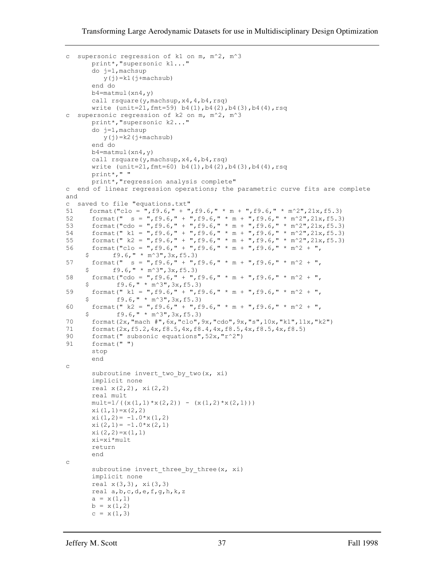#### Transforming Large Aerodynamic Datasets for use in Multidisciplinary Design Optimization

```
c supersonic regression of k1 on m, m^2, m^3
       print*,"supersonic k1..."
       do j=1,machsup
          y(j)=k1(j+machsub)end do
       b4=matmul(xn4,y)
       call rsquare(y,machsup,x4,4,b4,rsq)
       write (\text{unit}=21, \text{fmt}=59) b4(1),b4(2),b4(3),b4(4),rsq
c supersonic regression of k2 on m, m^2, m^3
       print*,"supersonic k2..."
       do j=1,machsup
          y(j)=k2(j+machsub)end do
       b4=matmul(xn4,y)
       call rsquare(y,machsup,x4,4,b4,rsq)
       write (unit=21,fmt=60) b4(1),b4(2),b4(3),b4(4),rsq
       print*," "
       print*,"regression analysis complete"
c end of linear regression operations; the parametric curve fits are complete 
and
c saved to file "equations.txt"
51 format ("clo = \pi, f9.6," + ", f9.6," * m + ", f9.6," * m^2", 21x, f5.3)<br>52 format (" s = ", f9.6," + ", f9.6," * m + ", f9.6," * m^2", 21x, f5.3)
52 format(" s = ",f9.6," + ",f9.6," * m + ",f9.6," * m^2",21x,f5.3)<br>53 format("cdo = ",f9.6," + ",f9.6," * m + ",f9.6," * m^2",21x,f5.3)
       format("cdo = ",f9.6," + ",f9.6," * m + ",f9.6," * m^2",21x,f5.3)
54 format(" k1 = ",f9.6," + ",f9.6," * m + ",f9.6," * m^2",21x,f5.3)
55 format(" k2 = ", f9.6," + ", f9.6," * m + ", f9.6," * m^2", 21x, f5.3)
56 format("clo = ",f9.6," + ",f9.6," * m + ",f9.6," * m^2 + ",
     $  f9.6," * m^3",3x,f5.3)
57 format(" s = ", f9.6," + ", f9.6," * m + ", f9.6," * m^2 + ",
     $ f9.6," * m^3",3x,f5.3)
58 format("cdo = ",f9.6," + ",f9.6," * m + ",f9.6," * m^2 + ",
     $ f9.6," * m^3", 3x, f5.3)
59 format(" k1 = ", f9.6," + ", f9.6," * m + ", f9.6," * m^2 + ",
$ f9.6," * m^3",3x,f5.3)<br>60 format(" k2 = ",f9.6," + ",f
      format(" k2 = ",f9.6," + ",f9.6," * m + ",f9.6," * m^2 + ",
$ 5 \text{ f}9.6, \text{''} * \text{m}^3$, 3x, f5.3)<br>70 format (2x, "mach #", 6x, "clo",
      70 format(2x,"mach #",6x,"clo",9x,"cdo",9x,"s",10x,"k1",11x,"k2")
71 format(2x,f5.2,4x,f8.5,4x,f8.4,4x,f8.5,4x,f8.5,4x,f8.5)
90 format (" subsonic equations", 52x, "r^2")
91 format(" ")
       stop
       end
\mathtt{C}subroutine invert_two_by_two(x, xi)
       implicit none
       real x(2,2), xi(2,2)real mult
       mult=1/((x(1,1) * x(2,2)) - (x(1,2) * x(2,1)))x_i(1,1)=x(2,2)x_i(1,2) = -1.0*x(1,2)x_i(2,1) = -1.0*x(2,1)xi(2,2)=x(1,1)
       xi=xi*mult
       return
       end
c
       subroutine invert three by three(x, xi)
       implicit none
       real x(3,3), xi(3,3)
       real a,b,c,d,e,f,g,h,k,z
       a = x(1,1)b = x(1, 2)c = x(1, 3)
```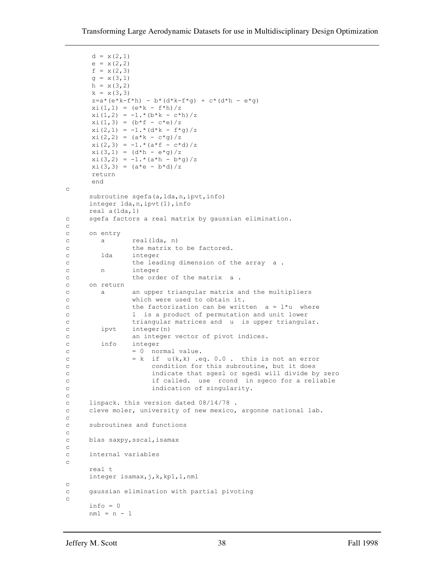```
d = x(2, 1)e = x(2, 2)f = x(2, 3)q = x(3, 1)h = x(3, 2)k = x(3, 3)z=a*(e*k-f*h) - b*(d*k-f*g) + c*(d*h - e*g)xi(1,1) = (e*k - f*h)/zxi(1,2) = -1.*(b*k - c*h)/zx_i(1,3) = (b*f - c*e)/zxi(2,1) = -1.*(d*k - f*q)/zxi(2, 2) = (a*k - c * q)/zxi(2,3) = -1.*(a*f - c*d)/zxi(3,1) = (d*h - e*g)/zxi(3,2) = -1.*(a*h - b*g)/zxi(3,3) = (a*e - b*d)/zreturn
     end 
c
    subroutine sgefa(a, lda, n, ipvt, info)
     integer lda,n,ipvt(1),info
     real a(lda,1)
c sgefa factors a real matrix by gaussian elimination.
c
c on entry
c a real(lda, n)
c the matrix to be factored.
c lda integer
c the leading dimension of the array a.
c n integer
c the order of the matrix a.
c on return
c a an upper triangular matrix and the multipliers
c which were used to obtain it.
c the factorization can be written a = 1 * u where
c l is a product of permutation and unit lower
c triangular matrices and u is upper triangular.
c ipvt integer(n)
c an integer vector of pivot indices.
c info integer
c = 0 normal value.
c = k if u(k, k) .eq. 0.0. this is not an error
c condition for this subroutine, but it does
c indicate that sgesl or sgedi will divide by zero
c if called. use rcond in sgeco for a reliable
c indication of singularity.
c
c linpack. this version dated 08/14/78 .
c cleve moler, university of new mexico, argonne national lab.
c
c subroutines and functions
\mathtt{C}c blas saxpy,sscal,isamax
c
c internal variables
c
     real t
     integer isamax,j,k,kp1,l,nm1
c
c gaussian elimination with partial pivoting
c
    info = 0 nm1 = n - 1
```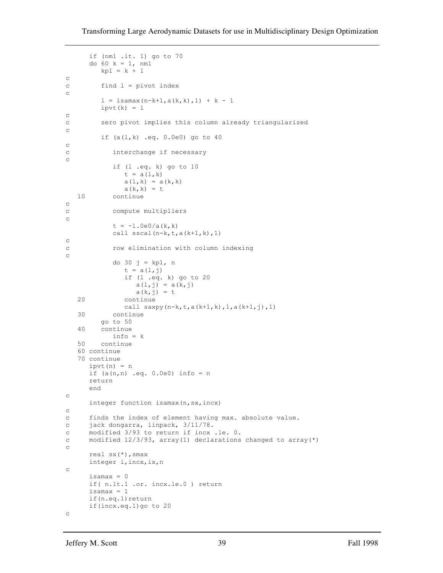```
 if (nm1 .lt. 1) go to 70
      do 60 k = 1, nm1
        kp1 = k + 1c
c find l = pivot index
c
        1 = isamax(n-k+1, a(k, k), 1) + k - 1ipvt(k) = 1c
c zero pivot implies this column already triangularized
c
         if (a(l,k) .eq. 0.0e0) go to 40
c
c interchange if necessary
c
            if (l .eq. k) go to 10
              t = a(1, k)a(1, k) = a(k, k)a(k, k) = t<br>10 continue
           continue
c
c compute multipliers
c
           t = -1.0e0/a(k, k) call sscal(n-k,t,a(k+1,k),1)
c
c row elimination with column indexing
c
            do 30 j = kp1, n
              t = a(1, j) if (l .eq. k) go to 20
                 a(1,j) = a(k,j)a(k, j) = t 20 continue
               call saxpy(n-k,t,a(k+1,k),1,a(k+1,j),1)
   30 continue
         go to 50
   40 continue
            info = k
   50 continue
    60 continue
   70 continue
     ipvt(n) = n if (a(n,n) .eq. 0.0e0) info = n
      return
      end
c
      integer function isamax(n,sx,incx)
c
c finds the index of element having max. absolute value.
c jack dongarra, linpack, 3/11/78.
c modified 3/93 to return if incx .le. 0.
c modified 12/3/93, array(1) declarations changed to array(*)
c
     real sx(*), smax
      integer i,incx,ix,n
c
     isa max = 0 if( n.lt.1 .or. incx.le.0 ) return
     isamax = 1if(n.eq.1)return
      if(incx.eq.1)go to 20
c
```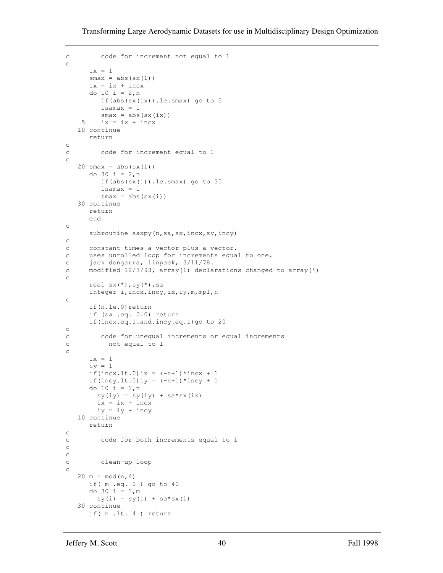```
c code for increment not equal to 1
c
      ix = 1smax = abs(sx(1))ix = ix + incx do 10 i = 2,n
         if(abs(sx(ix)).le.smax) go to 5
          isamax = i
    smax = abs(sx(ix))<br>5 ix = ix + incxix = ix + incx 10 continue
       return
c
c code for increment equal to 1
c
   20 \text{ smax} = abs(sx(1)) do 30 i = 2,n
          if(abs(sx(i)).le.smax) go to 30
          isamax = i
        smax = abs(sx(i)) 30 continue
       return
       end
c
      subroutine saxpy(n, sa, sx, incx, sy, incy)
c
c constant times a vector plus a vector.
c uses unrolled loop for increments equal to one.
c jack dongarra, linpack, 3/11/78.
c modified 12/3/93, array(1) declarations changed to array(*)
c
       real sx(*),sy(*),sa
       integer i,incx,incy,ix,iy,m,mp1,n
c
      if(n.le.0) return
       if (sa .eq. 0.0) return
       if(incx.eq.1.and.incy.eq.1)go to 20
\mathcal{C}c code for unequal increments or equal increments
c not equal to 1
c
      ix = 1i y = 1if(incx.lt.0)ix = (-n+1)*incx + 1if(incy.lt.0)iy = (-n+1)*incy + 1
       do 10 i = 1,n
       sy(iy) = sy(iy) + sa*sx(ix)ix = ix + incx iy = iy + incy
    10 continue
      return
\mathtt{C}c code for both increments equal to 1
c
c
c clean-up loop
c
   20 \text{ m} = \text{mod}(n, 4) if( m .eq. 0 ) go to 40
       do 30 i = 1,m
        sy(i) = sy(i) + sa*sx(i) 30 continue
       if( n .lt. 4 ) return
```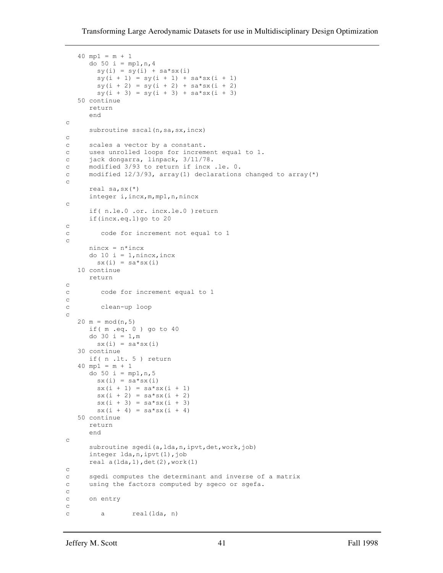```
 40 mp1 = m + 1
      do 50 i = mp1, n, 4sy(i) = sy(i) + sa*sx(i)sy(i + 1) = sy(i + 1) + sa*sx(i + 1)sy(i + 2) = sy(i + 2) + sa*sx(i + 2)sy(i + 3) = sy(i + 3) + sa*sx(i + 3) 50 continue
      return
      end
c
     subroutine sscal(n, sa, sx, incx)
\mathtt{C}c scales a vector by a constant.
c uses unrolled loops for increment equal to 1.
c jack dongarra, linpack, 3/11/78.
c modified 3/93 to return if incx .le. 0.
c modified 12/3/93, array(1) declarations changed to array(*)
c
      real sa,sx(*)
      integer i,incx,m,mp1,n,nincx
c
      if( n.le.0 .or. incx.le.0 )return
       if(incx.eq.1)go to 20
c
c code for increment not equal to 1
c
      nincx = n*incx
      do 10 i = 1, nincx, incx
       sx(i) = sa*sx(i) 10 continue
      return
c
c code for increment equal to 1
c
c clean-up loop
c
  20 \text{ m} = \text{mod}(n, 5) if( m .eq. 0 ) go to 40
      do 30 i = 1,m
       sx(i) = sa*sx(i) 30 continue
      if( n .lt. 5 ) return
    40 mp1 = m + 1
     do 50 i = mp1, n, 5sx(i) = sa*sx(i)sx(i + 1) = sa*sx(i + 1)sx(i + 2) = sa*sx(i + 2)sx(i + 3) = sa*sx(i + 3)sx(i + 4) = sa*sx(i + 4) 50 continue
      return
       end
c
      subroutine sgedi(a, lda, n, ipvt, det, work, job)
       integer lda,n,ipvt(1),job
      real a(lda,1), det(2), work(1)c
c sgedi computes the determinant and inverse of a matrix
c using the factors computed by sgeco or sgefa.
c
c on entry
c
c a real(lda, n)
```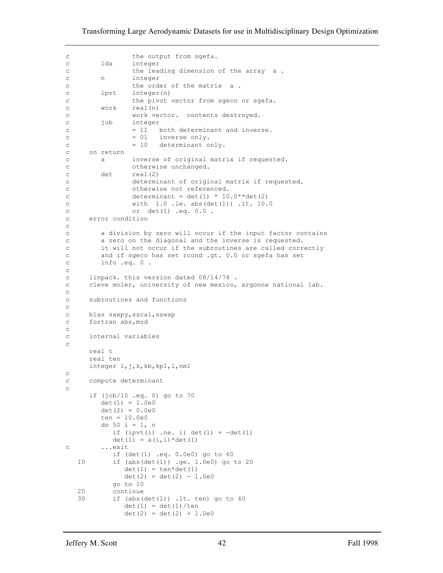#### Transforming Large Aerodynamic Datasets for use in Multidisciplinary Design Optimization

```
c the output from sgefa.
c lda integer
c the leading dimension of the array a .
c n integer
c the order of the matrix a.
c ipvt integer(n)
c the pivot vector from sgeco or sgefa.
c work real(n)
c work vector. contents destroyed.<br>c job integer
             integer
c = 11 both determinant and inverse.
c = 01 inverse only.
c = 10 determinant only.
c on return
c a inverse of original matrix if requested.
c otherwise unchanged.
c det real(2)
c determinant of original matrix if requested.
c otherwise not referenced.
c determinant = det(1) * 10.0**det(2)
c with 1.0 .le. abs(det(1)) .lt. 10.0
c or det(1) .eq. 0.0 .
c error condition
c
c a division by zero will occur if the input factor contains
c a zero on the diagonal and the inverse is requested.
c it will not occur if the subroutines are called correctly
c and if sgeco has set rcond .gt. 0.0 or sgefa has set
c info .eq. 0 .
c
c linpack. this version dated 08/14/78 .
c cleve moler, university of new mexico, argonne national lab.
c
c subroutines and functions
c
c blas saxpy,sscal,sswap
c fortran abs,mod
\mathcal{C}c internal variables
c
     real t
     real ten
     integer i,j,k,kb,kp1,l,nm1
\mathtt{C}c compute determinant
c
      if (job/10 .eq. 0) go to 70
       det(1) = 1.0e0det(2) = 0.0e0 ten = 10.0e0
        do 50 i = 1, n
         if (iput(i) .ne. i) det(1) = -det(1)det(1) = a(i, i) * det(1)c ...exit
          if (det(1) .eq. 0.0e0) go to 60
   10 if (abs(det(1)) .ge. 1.0e0) go to 20
            det(1) = tan*det(1)det(2) = det(2) - 1.0e0 go to 10
   20 continue
   30 if (abs(det(1)) .lt. ten) go to 40
           det(1) = det(1)/tendet(2) = det(2) + 1.0e0
```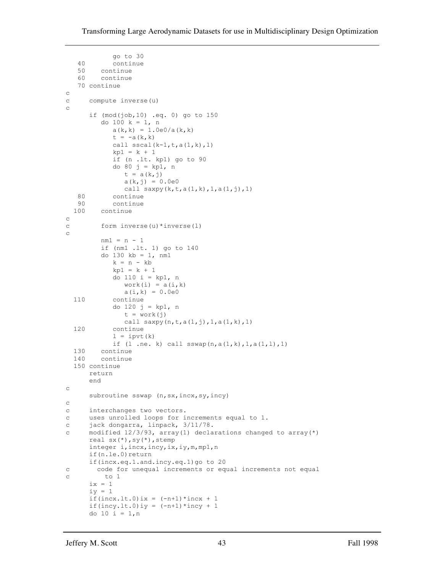```
go to 30<br>40 continue
           continue
    50 continue
    60 continue
   70 continue
c
c compute inverse(u)
c
       if (mod(job,10) .eq. 0) go to 150
          do 100 k = 1, n
            a(k, k) = 1.0e0/a(k, k)t = -a(k, k)call sscal(k-1,t,a(1,k),1)kp1 = k + 1 if (n .lt. kp1) go to 90
             do 80 j = kp1, n
              t = a(k, j)a(k, j) = 0.0e0call saxpy(k, t, a(1, k), 1, a(1, j), 1)<br>80 continue
  80 continue<br>90 continue
 90 continue<br>100 continue
        continue
c
c form inverse(u)*inverse(l)
c
          nm1 = n - 1
          if (nm1 .lt. 1) go to 140
          do 130 kb = 1, nm1
            k = n - kbkp1 = k + 1 do 110 i = kp1, n
              work(i) = a(i,k)a(i,k) = 0.0e0 110 continue
             do 120 j = kp1, n
              t = work(j)call saxyy(n,t,a(1,j),1,a(1,k),1) 120 continue
            l = ipvt(k)if (1 \text{ .ne. k}) call sswap(n, a(1, k), 1, a(1, l), 1) 130 continue
   140 continue
   150 continue
      return
      end
c
     subroutine sswap (n, sx, incx, sy, incy)
c
c interchanges two vectors.
c uses unrolled loops for increments equal to 1.
c jack dongarra, linpack, 3/11/78.
c modified 12/3/93, array(1) declarations changed to array(*)
      real sx(*),sy(*),stemp
      integer i,incx,incy,ix,iy,m,mp1,n
       if(n.le.0)return
       if(incx.eq.1.and.incy.eq.1)go to 20
c code for unequal increments or equal increments not equal
c to 1
     ix = 1iv = 1if(incx.lt.0)ix = (-n+1)*incx + 1if(incy.lt.0)iy = (-n+1)*incy + 1
       do 10 i = 1,n
```